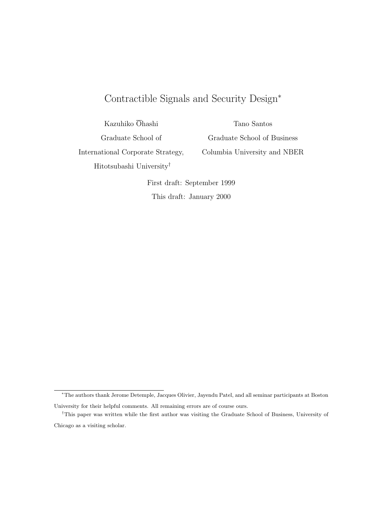# Contractible Signals and Security Design<sup>∗</sup>

Kazuhiko Ohashi

Graduate School of

Tano Santos Graduate School of Business Columbia University and NBER

International Corporate Strategy, Hitotsubashi University†

First draft: September 1999 This draft: January 2000

<sup>∗</sup>The authors thank Jerome Detemple, Jacques Olivier, Jayendu Patel, and all seminar participants at Boston University for their helpful comments. All remaining errors are of course ours.

<sup>†</sup>This paper was written while the first author was visiting the Graduate School of Business, University of Chicago as a visiting scholar.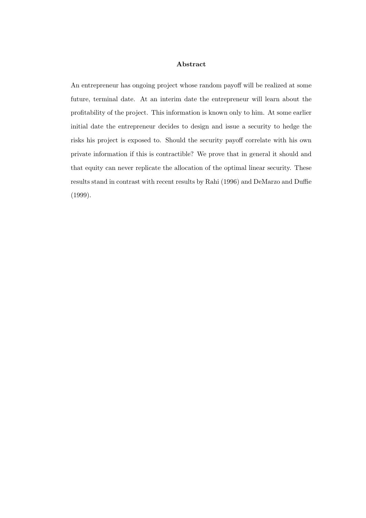## Abstract

An entrepreneur has ongoing project whose random payoff will be realized at some future, terminal date. At an interim date the entrepreneur will learn about the profitability of the project. This information is known only to him. At some earlier initial date the entrepreneur decides to design and issue a security to hedge the risks his project is exposed to. Should the security payoff correlate with his own private information if this is contractible? We prove that in general it should and that equity can never replicate the allocation of the optimal linear security. These results stand in contrast with recent results by Rahi (1996) and DeMarzo and Duffie (1999).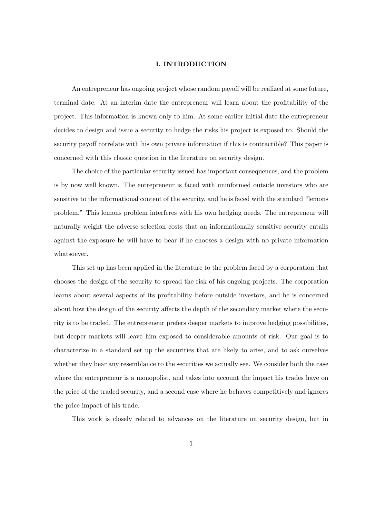## I. INTRODUCTION

An entrepreneur has ongoing project whose random payoff will be realized at some future, terminal date. At an interim date the entrepreneur will learn about the profitability of the project. This information is known only to him. At some earlier initial date the entrepreneur decides to design and issue a security to hedge the risks his project is exposed to. Should the security payoff correlate with his own private information if this is contractible? This paper is concerned with this classic question in the literature on security design.

The choice of the particular security issued has important consequences, and the problem is by now well known. The entrepreneur is faced with uninformed outside investors who are sensitive to the informational content of the security, and he is faced with the standard "lemons problem." This lemons problem interferes with his own hedging needs. The entrepreneur will naturally weight the adverse selection costs that an informationally sensitive security entails against the exposure he will have to bear if he chooses a design with no private information whatsoever.

This set up has been applied in the literature to the problem faced by a corporation that chooses the design of the security to spread the risk of his ongoing projects. The corporation learns about several aspects of its profitability before outside investors, and he is concerned about how the design of the security affects the depth of the secondary market where the security is to be traded. The entrepreneur prefers deeper markets to improve hedging possibilities, but deeper markets will leave him exposed to considerable amounts of risk. Our goal is to characterize in a standard set up the securities that are likely to arise, and to ask ourselves whether they bear any resemblance to the securities we actually see. We consider both the case where the entrepreneur is a monopolist, and takes into account the impact his trades have on the price of the traded security, and a second case where he behaves competitively and ignores the price impact of his trade.

This work is closely related to advances on the literature on security design, but in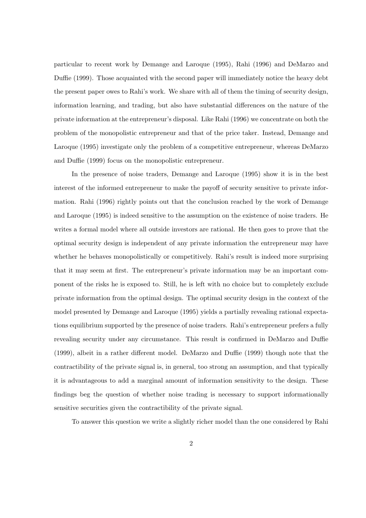particular to recent work by Demange and Laroque (1995), Rahi (1996) and DeMarzo and Duffie (1999). Those acquainted with the second paper will immediately notice the heavy debt the present paper owes to Rahi's work. We share with all of them the timing of security design, information learning, and trading, but also have substantial differences on the nature of the private information at the entrepreneur's disposal. Like Rahi (1996) we concentrate on both the problem of the monopolistic entrepreneur and that of the price taker. Instead, Demange and Laroque (1995) investigate only the problem of a competitive entrepreneur, whereas DeMarzo and Duffie (1999) focus on the monopolistic entrepreneur.

In the presence of noise traders, Demange and Laroque (1995) show it is in the best interest of the informed entrepreneur to make the payoff of security sensitive to private information. Rahi (1996) rightly points out that the conclusion reached by the work of Demange and Laroque (1995) is indeed sensitive to the assumption on the existence of noise traders. He writes a formal model where all outside investors are rational. He then goes to prove that the optimal security design is independent of any private information the entrepreneur may have whether he behaves monopolistically or competitively. Rahi's result is indeed more surprising that it may seem at first. The entrepreneur's private information may be an important component of the risks he is exposed to. Still, he is left with no choice but to completely exclude private information from the optimal design. The optimal security design in the context of the model presented by Demange and Laroque (1995) yields a partially revealing rational expectations equilibrium supported by the presence of noise traders. Rahi's entrepreneur prefers a fully revealing security under any circumstance. This result is confirmed in DeMarzo and Duffie (1999), albeit in a rather different model. DeMarzo and Duffie (1999) though note that the contractibility of the private signal is, in general, too strong an assumption, and that typically it is advantageous to add a marginal amount of information sensitivity to the design. These findings beg the question of whether noise trading is necessary to support informationally sensitive securities given the contractibility of the private signal.

To answer this question we write a slightly richer model than the one considered by Rahi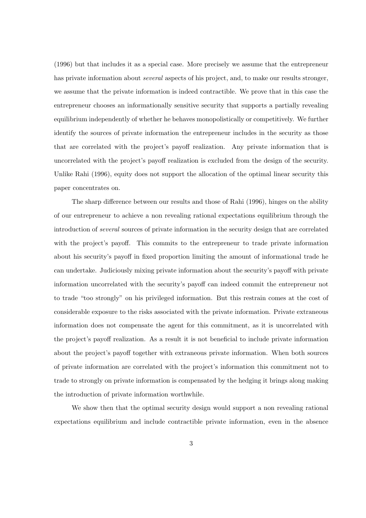(1996) but that includes it as a special case. More precisely we assume that the entrepreneur has private information about *several* aspects of his project, and, to make our results stronger, we assume that the private information is indeed contractible. We prove that in this case the entrepreneur chooses an informationally sensitive security that supports a partially revealing equilibrium independently of whether he behaves monopolistically or competitively. We further identify the sources of private information the entrepreneur includes in the security as those that are correlated with the project's payoff realization. Any private information that is uncorrelated with the project's payoff realization is excluded from the design of the security. Unlike Rahi (1996), equity does not support the allocation of the optimal linear security this paper concentrates on.

The sharp difference between our results and those of Rahi (1996), hinges on the ability of our entrepreneur to achieve a non revealing rational expectations equilibrium through the introduction of several sources of private information in the security design that are correlated with the project's payoff. This commits to the entrepreneur to trade private information about his security's payoff in fixed proportion limiting the amount of informational trade he can undertake. Judiciously mixing private information about the security's payoff with private information uncorrelated with the security's payoff can indeed commit the entrepreneur not to trade "too strongly" on his privileged information. But this restrain comes at the cost of considerable exposure to the risks associated with the private information. Private extraneous information does not compensate the agent for this commitment, as it is uncorrelated with the project's payoff realization. As a result it is not beneficial to include private information about the project's payoff together with extraneous private information. When both sources of private information are correlated with the project's information this commitment not to trade to strongly on private information is compensated by the hedging it brings along making the introduction of private information worthwhile.

We show then that the optimal security design would support a non revealing rational expectations equilibrium and include contractible private information, even in the absence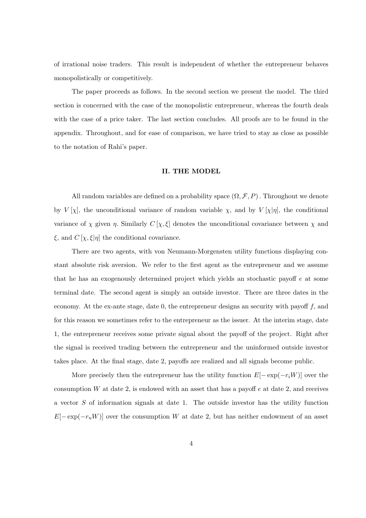of irrational noise traders. This result is independent of whether the entrepreneur behaves monopolistically or competitively.

The paper proceeds as follows. In the second section we present the model. The third section is concerned with the case of the monopolistic entrepreneur, whereas the fourth deals with the case of a price taker. The last section concludes. All proofs are to be found in the appendix. Throughout, and for ease of comparison, we have tried to stay as close as possible to the notation of Rahi's paper.

#### II. THE MODEL

All random variables are defined on a probability space  $(\Omega, \mathcal{F}, P)$ . Throughout we denote by  $V[\chi]$ , the unconditional variance of random variable  $\chi$ , and by  $V[\chi|\eta]$ , the conditional variance of  $\chi$  given  $\eta$ . Similarly  $C[\chi,\xi]$  denotes the unconditional covariance between  $\chi$  and  $\xi$ , and  $C[\chi, \xi | \eta]$  the conditional covariance.

There are two agents, with von Neumann-Morgensten utility functions displaying constant absolute risk aversion. We refer to the first agent as the entrepreneur and we assume that he has an exogenously determined project which yields an stochastic payoff e at some terminal date. The second agent is simply an outside investor. There are three dates in the economy. At the ex-ante stage, date 0, the entrepreneur designs an security with payoff  $f$ , and for this reason we sometimes refer to the entrepreneur as the issuer. At the interim stage, date 1, the entrepreneur receives some private signal about the payoff of the project. Right after the signal is received trading between the entrepreneur and the uninformed outside investor takes place. At the final stage, date 2, payoffs are realized and all signals become public.

More precisely then the entrepreneur has the utility function  $E[-\exp(-r_iW)]$  over the consumption  $W$  at date 2, is endowed with an asset that has a payoff  $e$  at date 2, and receives a vector S of information signals at date 1. The outside investor has the utility function  $E[-\exp(-r_uW)]$  over the consumption W at date 2, but has neither endowment of an asset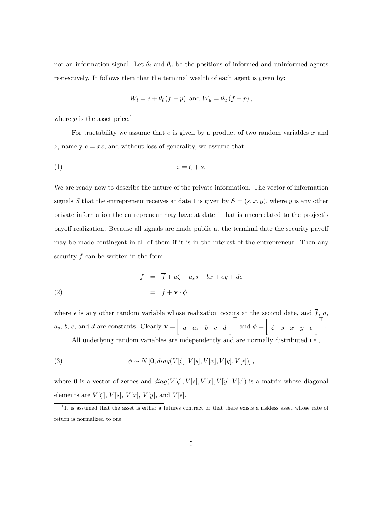nor an information signal. Let  $\theta_i$  and  $\theta_u$  be the positions of informed and uninformed agents respectively. It follows then that the terminal wealth of each agent is given by:

$$
W_i = e + \theta_i (f - p) \text{ and } W_u = \theta_u (f - p),
$$

where  $p$  is the asset price.<sup>1</sup>

For tractability we assume that  $e$  is given by a product of two random variables  $x$  and z, namely  $e = xz$ , and without loss of generality, we assume that

$$
(1) \t\t\t z = \zeta + s.
$$

We are ready now to describe the nature of the private information. The vector of information signals S that the entrepreneur receives at date 1 is given by  $S = (s, x, y)$ , where y is any other private information the entrepreneur may have at date 1 that is uncorrelated to the project's payoff realization. Because all signals are made public at the terminal date the security payoff may be made contingent in all of them if it is in the interest of the entrepreneur. Then any security f can be written in the form

(2) 
$$
f = \overline{f} + a\zeta + a_s s + bx + cy + d\epsilon
$$

$$
= \overline{f} + \mathbf{v} \cdot \phi
$$

where  $\epsilon$  is any other random variable whose realization occurs at the second date, and  $\overline{f}$ , a,  $a_s, b, c, \text{ and } d \text{ are constants. Clearly } \mathbf{v} = \begin{bmatrix} a & a_s & b & c & d \end{bmatrix}^\top \text{ and } \phi = \begin{bmatrix} c & s & x & y & \epsilon \end{bmatrix}^\top.$ 

All underlying random variables are independently and are normally distributed i.e.,

(3) 
$$
\phi \sim N\left[\mathbf{0}, diag(V[\zeta], V[s], V[x], V[y], V[\epsilon])\right],
$$

where 0 is a vector of zeroes and  $diag(V[\zeta], V[s], V[x], V[y], V[\epsilon])$  is a matrix whose diagonal elements are  $V[\zeta], V[s], V[x], V[y],$  and  $V[\epsilon]$ .

<sup>&</sup>lt;sup>1</sup>It is assumed that the asset is either a futures contract or that there exists a riskless asset whose rate of return is normalized to one.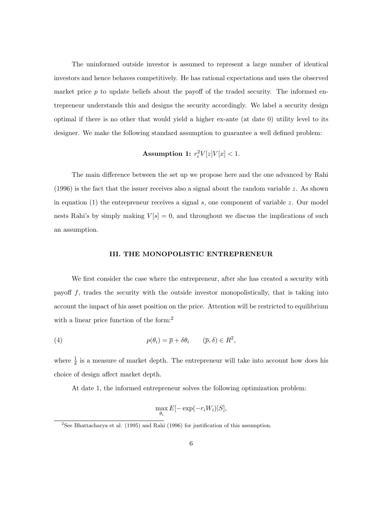The uninformed outside investor is assumed to represent a large number of identical investors and hence behaves competitively. He has rational expectations and uses the observed market price  $p$  to update beliefs about the payoff of the traded security. The informed entrepreneur understands this and designs the security accordingly. We label a security design optimal if there is no other that would yield a higher ex-ante (at date 0) utility level to its designer. We make the following standard assumption to guarantee a well defined problem:

## Assumption 1:  $r_i^2V[z]V[x] < 1$ .

The main difference between the set up we propose here and the one advanced by Rahi  $(1996)$  is the fact that the issuer receives also a signal about the random variable z. As shown in equation  $(1)$  the entrepreneur receives a signal s, one component of variable z. Our model nests Rahi's by simply making  $V[s] = 0$ , and throughout we discuss the implications of such an assumption.

#### III. THE MONOPOLISTIC ENTREPRENEUR

We first consider the case where the entrepreneur, after she has created a security with payoff  $f$ , trades the security with the outside investor monopolistically, that is taking into account the impact of his asset position on the price. Attention will be restricted to equilibrium with a linear price function of the form:<sup>2</sup>

(4) 
$$
p(\theta_i) = \overline{p} + \delta \theta_i \qquad (\overline{p}, \delta) \in R^2,
$$

where  $\frac{1}{\delta}$  is a measure of market depth. The entrepreneur will take into account how does his choice of design affect market depth.

At date 1, the informed entrepreneur solves the following optimization problem:

$$
\max_{\theta_i} E[-\exp(-r_i W_i)|S],
$$

<sup>&</sup>lt;sup>2</sup>See Bhattacharya et al. (1995) and Rahi (1996) for justification of this assumption.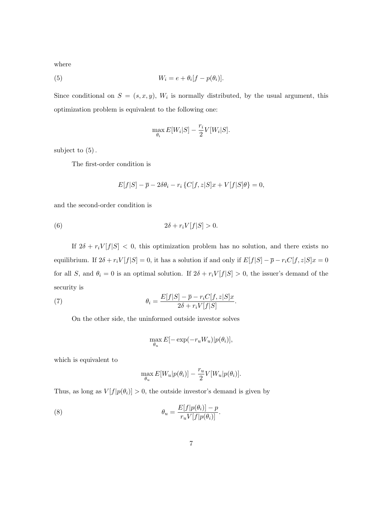where

(5) 
$$
W_i = e + \theta_i[f - p(\theta_i)].
$$

Since conditional on  $S = (s, x, y)$ ,  $W_i$  is normally distributed, by the usual argument, this optimization problem is equivalent to the following one:

$$
\max_{\theta_i} E[W_i|S] - \frac{r_i}{2} V[W_i|S].
$$

subject to (5).

The first-order condition is

$$
E[f|S] - \overline{p} - 2\delta\theta_i - r_i \left\{ C[f, z|S]x + V[f|S]\theta \right\} = 0,
$$

and the second-order condition is

$$
(6) \t\t 2\delta + r_i V[f|S] > 0.
$$

If  $2\delta + r_iV[f|S] < 0$ , this optimization problem has no solution, and there exists no equilibrium. If  $2\delta + r_iV[f|S] = 0$ , it has a solution if and only if  $E[f|S] - \bar{p} - r_iC[f, z|S]x = 0$ for all S, and  $\theta_i = 0$  is an optimal solution. If  $2\delta + r_iV[f|S] > 0$ , the issuer's demand of the security is

(7) 
$$
\theta_i = \frac{E[f|S] - \overline{p} - r_i C[f, z|S]x}{2\delta + r_i V[f|S]}.
$$

On the other side, the uninformed outside investor solves

$$
\max_{\theta_u} E[-\exp(-r_u W_u)|p(\theta_i)],
$$

which is equivalent to

$$
\max_{\theta_u} E[W_u | p(\theta_i)] - \frac{r_u}{2} V[W_u | p(\theta_i)].
$$

Thus, as long as  $V[f|p(\theta_i)] > 0$ , the outside investor's demand is given by

(8) 
$$
\theta_u = \frac{E[f|p(\theta_i)] - p}{r_u V[f|p(\theta_i)]}.
$$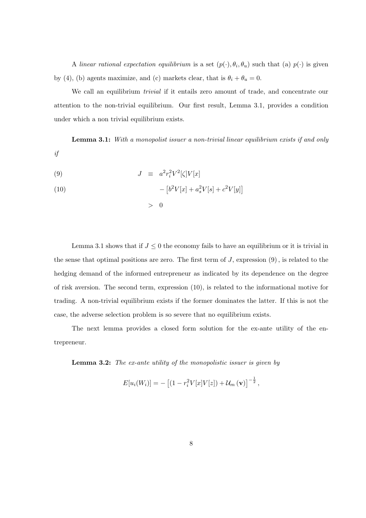A linear rational expectation equilibrium is a set  $(p(\cdot), \theta_i, \theta_u)$  such that (a)  $p(\cdot)$  is given by (4), (b) agents maximize, and (c) markets clear, that is  $\theta_i + \theta_u = 0$ .

We call an equilibrium *trivial* if it entails zero amount of trade, and concentrate our attention to the non-trivial equilibrium. Our first result, Lemma 3.1, provides a condition under which a non trivial equilibrium exists.

Lemma 3.1: With a monopolist issuer a non-trivial linear equilibrium exists if and only if

$$
(9) \t\t J \equiv a^2 r_i^2 V^2 [\zeta] V[x]
$$

(10) 
$$
- [b^2 V[x] + a_s^2 V[s] + c^2 V[y]]
$$

 $> 0$ 

Lemma 3.1 shows that if  $J \leq 0$  the economy fails to have an equilibrium or it is trivial in the sense that optimal positions are zero. The first term of  $J$ , expression  $(9)$ , is related to the hedging demand of the informed entrepreneur as indicated by its dependence on the degree of risk aversion. The second term, expression (10), is related to the informational motive for trading. A non-trivial equilibrium exists if the former dominates the latter. If this is not the case, the adverse selection problem is so severe that no equilibrium exists.

The next lemma provides a closed form solution for the ex-ante utility of the entrepreneur.

Lemma 3.2: The ex-ante utility of the monopolistic issuer is given by

$$
E[u_i(W_i)] = -[(1 - r_i^2 V[x]V[z]) + \mathcal{U}_m(\mathbf{v})]^{-\frac{1}{2}},
$$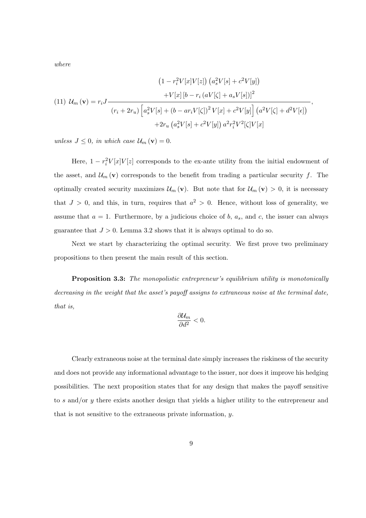where

(11) 
$$
U_m(\mathbf{v}) = r_i J \frac{\left(1 - r_i^2 V[x]V[z]\right) \left(a_s^2 V[s] + c^2 V[y]\right)}{(r_i + 2r_u) \left[a_s^2 V[s] + (b - ar_i V[\zeta])^2 V[x] + c^2 V[y]\right] \left(a^2 V[\zeta] + d^2 V[\epsilon]\right)},
$$
  

$$
+ 2r_u \left(a_s^2 V[s] + c^2 V[y]\right) a^2 r_i^2 V^2[\zeta] V[x]
$$

unless  $J \leq 0$ , in which case  $\mathcal{U}_m(\mathbf{v}) = 0$ .

Here,  $1 - r_i^2 V[x]V[z]$  corresponds to the ex-ante utility from the initial endowment of the asset, and  $\mathcal{U}_m(\mathbf{v})$  corresponds to the benefit from trading a particular security f. The optimally created security maximizes  $\mathcal{U}_m(\mathbf{v})$ . But note that for  $\mathcal{U}_m(\mathbf{v}) > 0$ , it is necessary that  $J > 0$ , and this, in turn, requires that  $a^2 > 0$ . Hence, without loss of generality, we assume that  $a = 1$ . Furthermore, by a judicious choice of b,  $a_s$ , and c, the issuer can always guarantee that  $J > 0$ . Lemma 3.2 shows that it is always optimal to do so.

Next we start by characterizing the optimal security. We first prove two preliminary propositions to then present the main result of this section.

Proposition 3.3: The monopolistic entrepreneur's equilibrium utility is monotonically decreasing in the weight that the asset's payoff assigns to extraneous noise at the terminal date, that is,

$$
\frac{\partial \mathcal{U}_m}{\partial d^2} < 0.
$$

Clearly extraneous noise at the terminal date simply increases the riskiness of the security and does not provide any informational advantage to the issuer, nor does it improve his hedging possibilities. The next proposition states that for any design that makes the payoff sensitive to s and/or y there exists another design that yields a higher utility to the entrepreneur and that is not sensitive to the extraneous private information, y.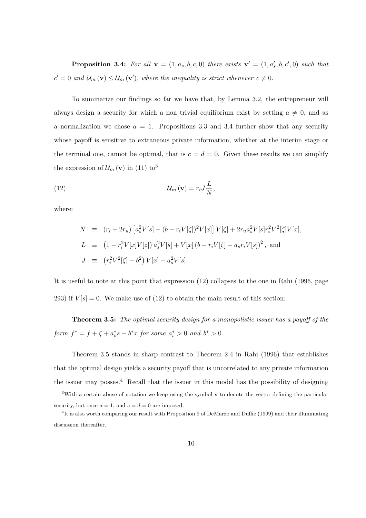**Proposition 3.4:** For all  $\mathbf{v} = (1, a_s, b, c, 0)$  there exists  $\mathbf{v}' = (1, a'_s, b, c', 0)$  such that  $c' = 0$  and  $\mathcal{U}_m(\mathbf{v}) \leq \mathcal{U}_m(\mathbf{v}')$ , where the inequality is strict whenever  $c \neq 0$ .

To summarize our findings so far we have that, by Lemma 3.2, the entrepreneur will always design a security for which a non trivial equilibrium exist by setting  $a \neq 0$ , and as a normalization we chose  $a = 1$ . Propositions 3.3 and 3.4 further show that any security whose payoff is sensitive to extraneous private information, whether at the interim stage or the terminal one, cannot be optimal, that is  $c = d = 0$ . Given these results we can simplify the expression of  $\mathcal{U}_m(\mathbf{v})$  in (11) to<sup>3</sup>

(12) 
$$
\mathcal{U}_m(\mathbf{v}) = r_i J \frac{L}{N},
$$

where:

$$
N \equiv (r_i + 2r_u) \left[ a_s^2 V[s] + (b - r_i V[\zeta])^2 V[x] \right] V[\zeta] + 2r_u a_s^2 V[s] r_i^2 V^2[\zeta] V[x],
$$
  
\n
$$
L \equiv (1 - r_i^2 V[x] V[z]) a_s^2 V[s] + V[x] (b - r_i V[\zeta] - a_s r_i V[s])^2, \text{ and}
$$
  
\n
$$
J \equiv (r_i^2 V^2[\zeta] - b^2) V[x] - a_s^2 V[s]
$$

It is useful to note at this point that expression (12) collapses to the one in Rahi (1996, page 293) if  $V[s] = 0$ . We make use of (12) to obtain the main result of this section:

Theorem 3.5: The optimal security design for a monopolistic issuer has a payoff of the form  $f^* = \overline{f} + \zeta + a_s^* s + b^* x$  for some  $a_s^* > 0$  and  $b^* > 0$ .

Theorem 3.5 stands in sharp contrast to Theorem 2.4 in Rahi (1996) that establishes that the optimal design yields a security payoff that is uncorrelated to any private information the issuer may posses. $4$  Recall that the issuer in this model has the possibility of designing

<sup>&</sup>lt;sup>3</sup>With a certain abuse of notation we keep using the symbol  $\bf{v}$  to denote the vector defining the particular security, but once  $a = 1$ , and  $c = d = 0$  are imposed.

<sup>&</sup>lt;sup>4</sup>It is also worth comparing our result with Proposition 9 of DeMarzo and Duffie (1999) and their illuminating discussion thereafter.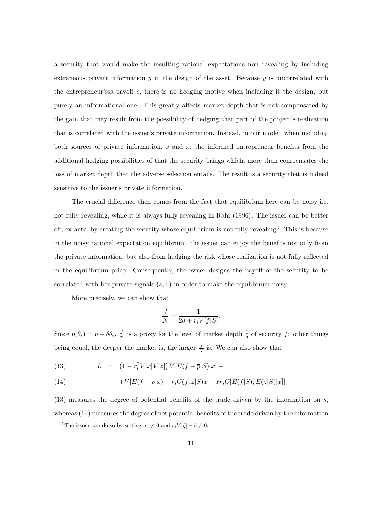a security that would make the resulting rational expectations non revealing by including extraneous private information  $y$  in the design of the asset. Because  $y$  is uncorrelated with the entrepreneur'sss payoff e, there is no hedging motive when including it the design, but purely an informational one. This greatly affects market depth that is not compensated by the gain that may result from the possibility of hedging that part of the project's realization that is correlated with the issuer's private information. Instead, in our model, when including both sources of private information,  $s$  and  $x$ , the informed entrepreneur benefits from the additional hedging possibilities of that the security brings which, more than compensates the loss of market depth that the adverse selection entails. The result is a security that is indeed sensitive to the issuer's private information.

The crucial difference then comes from the fact that equilibrium here can be noisy i.e. not fully revealing, while it is always fully revealing in Rahi (1996). The issuer can be better off, ex-ante, by creating the security whose equilibrium is not fully revealing.<sup>5</sup> This is because in the noisy rational expectation equilibrium, the issuer can enjoy the benefits not only from the private information, but also from hedging the risk whose realization is not fully reflected in the equilibrium price. Consequently, the issuer designs the payoff of the security to be correlated with her private signals  $(s, x)$  in order to make the equilibrium noisy.

More precisely, we can show that

$$
\frac{J}{N} = \frac{1}{2\delta + r_i V[f|S]}.
$$

Since  $p(\theta_i) = \overline{p} + \delta \theta_i, \frac{\partial}{\partial \theta_i}$  $\frac{J}{N}$  is a proxy for the level of market depth  $\frac{1}{\delta}$  of security f: other things being equal, the deeper the market is, the larger  $\frac{J}{N}$  is. We can also show that

(13) 
$$
L = (1 - r_i^2 V[x] V[z]) V[E(f - \overline{p}|S]|x] +
$$

(14) 
$$
+V[E(f-\overline{p}|x)-r_iC(f,z|S)x - xr_iC[E(f|S),E(z|S)|x]]
$$

 $(13)$  measures the degree of potential benefits of the trade driven by the information on s, whereas (14) measures the degree of net potential benefits of the trade driven by the information

<sup>&</sup>lt;sup>5</sup>The issuer can do so by setting  $a_s \neq 0$  and  $r_iV[\zeta] - b \neq 0$ .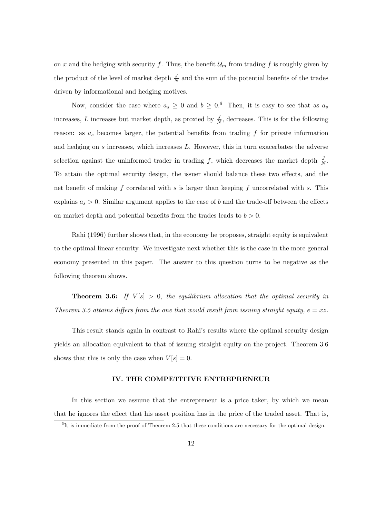on x and the hedging with security f. Thus, the benefit  $\mathcal{U}_m$  from trading f is roughly given by the product of the level of market depth  $\frac{J}{N}$  and the sum of the potential benefits of the trades driven by informational and hedging motives.

Now, consider the case where  $a_s \geq 0$  and  $b \geq 0.6$  Then, it is easy to see that as  $a_s$ increases, L increases but market depth, as proxied by  $\frac{J}{N}$ , decreases. This is for the following reason: as  $a_s$  becomes larger, the potential benefits from trading  $f$  for private information and hedging on s increases, which increases L. However, this in turn exacerbates the adverse selection against the uninformed trader in trading f, which decreases the market depth  $\frac{J}{N}$ . To attain the optimal security design, the issuer should balance these two effects, and the net benefit of making f correlated with s is larger than keeping f uncorrelated with s. This explains  $a_s > 0$ . Similar argument applies to the case of b and the trade-off between the effects on market depth and potential benefits from the trades leads to  $b > 0$ .

Rahi (1996) further shows that, in the economy he proposes, straight equity is equivalent to the optimal linear security. We investigate next whether this is the case in the more general economy presented in this paper. The answer to this question turns to be negative as the following theorem shows.

**Theorem 3.6:** If  $V[s] > 0$ , the equilibrium allocation that the optimal security in Theorem 3.5 attains differs from the one that would result from issuing straight equity,  $e = xz$ .

This result stands again in contrast to Rahi's results where the optimal security design yields an allocation equivalent to that of issuing straight equity on the project. Theorem 3.6 shows that this is only the case when  $V[s] = 0$ .

#### IV. THE COMPETITIVE ENTREPRENEUR

In this section we assume that the entrepreneur is a price taker, by which we mean that he ignores the effect that his asset position has in the price of the traded asset. That is,

<sup>&</sup>lt;sup>6</sup>It is immediate from the proof of Theorem 2.5 that these conditions are necessary for the optimal design.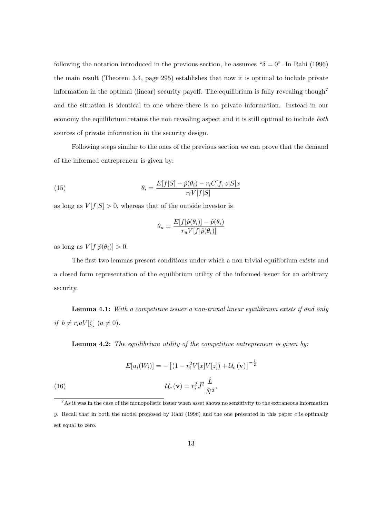following the notation introduced in the previous section, he assumes " $\delta = 0$ ". In Rahi (1996) the main result (Theorem 3.4, page 295) establishes that now it is optimal to include private information in the optimal (linear) security payoff. The equilibrium is fully revealing though<sup>7</sup> and the situation is identical to one where there is no private information. Instead in our economy the equilibrium retains the non revealing aspect and it is still optimal to include both sources of private information in the security design.

Following steps similar to the ones of the previous section we can prove that the demand of the informed entrepreneur is given by:

(15) 
$$
\theta_i = \frac{E[f|S] - \hat{p}(\theta_i) - r_i C[f, z|S]x}{r_i V[f|S]}
$$

as long as  $V[f|S] > 0$ , whereas that of the outside investor is

$$
\theta_u = \frac{E[f|\hat{p}(\theta_i)] - \hat{p}(\theta_i)}{r_u V[f|\hat{p}(\theta_i)]}
$$

as long as  $V[f|\hat{p}(\theta_i)] > 0$ .

The first two lemmas present conditions under which a non trivial equilibrium exists and a closed form representation of the equilibrium utility of the informed issuer for an arbitrary security.

Lemma 4.1: With a competitive issuer a non-trivial linear equilibrium exists if and only if  $b \neq r_i a V[\zeta]$   $(a \neq 0)$ .

**Lemma 4.2:** The equilibrium utility of the competitive entrepreneur is given by:

(16)  
\n
$$
E[u_i(W_i)] = -\left[ (1 - r_i^2 V[x]V[z]) + \mathcal{U}_c(\mathbf{v}) \right]^{-\frac{1}{2}}
$$
\n
$$
\mathcal{U}_c(\mathbf{v}) = r_i^2 \hat{J}^2 \frac{\hat{L}}{\hat{N}^2},
$$

<sup>7</sup>As it was in the case of the monopolistic issuer when asset shows no sensitivity to the extraneous information y. Recall that in both the model proposed by Rahi (1996) and the one presented in this paper c is optimally set equal to zero.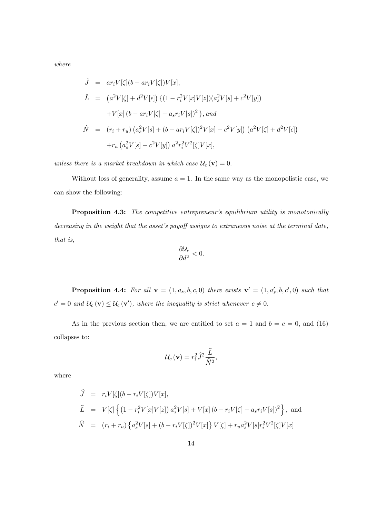where

$$
\hat{J} = ar_i V[\zeta](b - ar_i V[\zeta])V[x],
$$
  
\n
$$
\hat{L} = (a^2 V[\zeta] + d^2 V[\epsilon]) \{ (1 - r_i^2 V[x]V[z])(a_s^2 V[s] + c^2 V[y])
$$
  
\n
$$
+ V[x] (b - ar_i V[\zeta] - a_s r_i V[s])^2 \}, and
$$
  
\n
$$
\hat{N} = (r_i + r_u) (a_s^2 V[s] + (b - ar_i V[\zeta])^2 V[x] + c^2 V[y]) (a^2 V[\zeta] + d^2 V[\epsilon])
$$
  
\n
$$
+ r_u (a_s^2 V[s] + c^2 V[y]) a^2 r_i^2 V^2[\zeta] V[x],
$$

unless there is a market breakdown in which case  $U_c(\mathbf{v}) = 0$ .

Without loss of generality, assume  $a = 1$ . In the same way as the monopolistic case, we can show the following:

Proposition 4.3: The competitive entrepreneur's equilibrium utility is monotonically decreasing in the weight that the asset's payoff assigns to extraneous noise at the terminal date, that is,

$$
\frac{\partial \mathcal{U}_c}{\partial d^2} < 0.
$$

**Proposition 4.4:** For all  $\mathbf{v} = (1, a_s, b, c, 0)$  there exists  $\mathbf{v}' = (1, a'_s, b, c', 0)$  such that  $c' = 0$  and  $\mathcal{U}_c(\mathbf{v}) \leq \mathcal{U}_c(\mathbf{v}')$ , where the inequality is strict whenever  $c \neq 0$ .

As in the previous section then, we are entitled to set  $a = 1$  and  $b = c = 0$ , and (16) collapses to:

$$
U_c(\mathbf{v}) = r_i^2 \hat{J}^2 \frac{\hat{L}}{\hat{N}^2},
$$

where

$$
\hat{J} = r_i V[\zeta](b - r_i V[\zeta]) V[x],
$$
  
\n
$$
\hat{L} = V[\zeta] \left\{ (1 - r_i^2 V[x] V[z]) a_s^2 V[s] + V[x] (b - r_i V[\zeta] - a_s r_i V[s])^2 \right\},
$$
 and  
\n
$$
\hat{N} = (r_i + r_u) \left\{ a_s^2 V[s] + (b - r_i V[\zeta])^2 V[x] \right\} V[\zeta] + r_u a_s^2 V[s] r_i^2 V^2[\zeta] V[x]
$$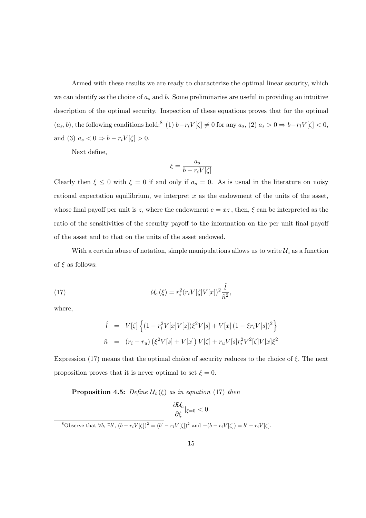Armed with these results we are ready to characterize the optimal linear security, which we can identify as the choice of  $a_s$  and b. Some preliminaries are useful in providing an intuitive description of the optimal security. Inspection of these equations proves that for the optimal  $(a_s, b)$ , the following conditions hold:<sup>8</sup> (1)  $b-r_iV[\zeta] \neq 0$  for any  $a_s$ , (2)  $a_s > 0 \Rightarrow b-r_iV[\zeta] < 0$ , and (3)  $a_s < 0 \Rightarrow b - r_i V[\zeta] > 0$ .

Next define,

$$
\xi = \frac{a_s}{b - r_i V[\zeta]}
$$

Clearly then  $\xi \le 0$  with  $\xi = 0$  if and only if  $a_s = 0$ . As is usual in the literature on noisy rational expectation equilibrium, we interpret  $x$  as the endowment of the units of the asset, whose final payoff per unit is z, where the endowment  $e = xz$ , then,  $\xi$  can be interpreted as the ratio of the sensitivities of the security payoff to the information on the per unit final payoff of the asset and to that on the units of the asset endowed.

With a certain abuse of notation, simple manipulations allows us to write  $\mathcal{U}_c$  as a function of  $\xi$  as follows:

(17) 
$$
\mathcal{U}_c(\xi) = r_i^2 (r_i V[\zeta] V[x])^2 \frac{\hat{l}}{\hat{n}^2},
$$

where,

$$
\hat{l} = V[\zeta] \left\{ (1 - r_i^2 V[x]V[z]) \xi^2 V[s] + V[x] (1 - \xi r_i V[s])^2 \right\}
$$
  
\n
$$
\hat{n} = (r_i + r_u) (\xi^2 V[s] + V[x]) V[\zeta] + r_u V[s] r_i^2 V^2[\zeta] V[x] \xi^2
$$

Expression (17) means that the optimal choice of security reduces to the choice of  $\xi$ . The next proposition proves that it is never optimal to set  $\xi = 0$ .

**Proposition 4.5:** Define  $\mathcal{U}_c(\xi)$  as in equation (17) then

$$
\frac{\partial \mathcal{U}_c}{\partial \xi}|_{\xi=0} < 0.
$$
\n<sup>8</sup>Observe that  $\forall b, \exists b', (b - r_i V[\zeta])^2 = (b' - r_i V[\zeta])^2$  and  $-(b - r_i V[\zeta]) = b' - r_i V[\zeta].$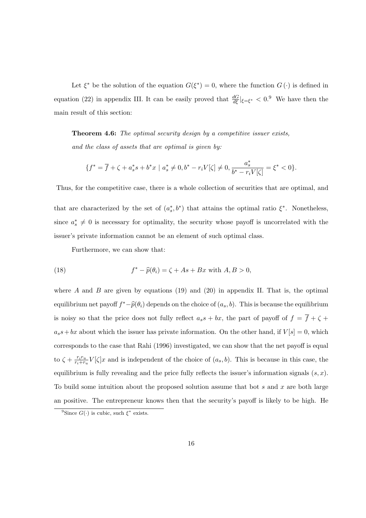Let  $\xi^*$  be the solution of the equation  $G(\xi^*) = 0$ , where the function  $G(\cdot)$  is defined in equation (22) in appendix III. It can be easily proved that  $\frac{dG}{d\xi}|_{\xi=\xi^*} < 0$ . We have then the main result of this section:

Theorem 4.6: The optimal security design by a competitive issuer exists, and the class of assets that are optimal is given by:

$$
\{f^* = \overline{f} + \zeta + a_s^*s + b^*x \mid a_s^* \neq 0, b^* - r_iV[\zeta] \neq 0, \frac{a_s^*}{b^* - r_iV[\zeta]} = \xi^* < 0\}.
$$

Thus, for the competitive case, there is a whole collection of securities that are optimal, and

that are characterized by the set of  $(a_s^*, b^*)$  that attains the optimal ratio  $\xi^*$ . Nonetheless, since  $a_s^* \neq 0$  is necessary for optimality, the security whose payoff is uncorrelated with the issuer's private information cannot be an element of such optimal class.

Furthermore, we can show that:

(18) 
$$
f^* - \widehat{p}(\theta_i) = \zeta + As + Bx \text{ with } A, B > 0,
$$

where A and B are given by equations (19) and (20) in appendix II. That is, the optimal equilibrium net payoff  $f^*-\widehat{p}(\theta_i)$  depends on the choice of  $(a_s, b)$ . This is because the equilibrium is noisy so that the price does not fully reflect  $a_s s + bx$ , the part of payoff of  $f = \overline{f} + \zeta +$  $a_s s + bx$  about which the issuer has private information. On the other hand, if  $V[s] = 0$ , which corresponds to the case that Rahi (1996) investigated, we can show that the net payoff is equal to  $\zeta + \frac{r_i r_u}{r_i + r_u}$  $\frac{r_i r_u}{r_i + r_u} V[\zeta] x$  and is independent of the choice of  $(a_s, b)$ . This is because in this case, the equilibrium is fully revealing and the price fully reflects the issuer's information signals  $(s, x)$ . To build some intuition about the proposed solution assume that bot s and x are both large an positive. The entrepreneur knows then that the security's payoff is likely to be high. He

<sup>&</sup>lt;sup>9</sup>Since  $G(\cdot)$  is cubic, such  $\xi^*$  exists.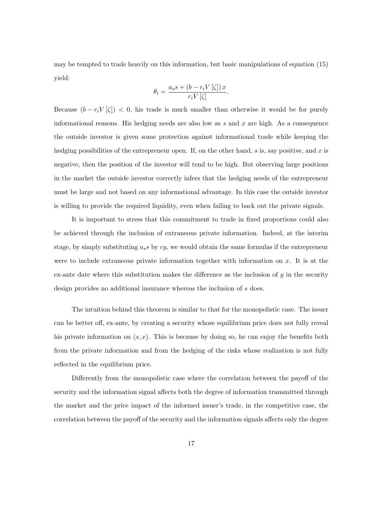may be tempted to trade heavily on this information, but basic manipulations of equation (15) yield:

$$
\theta_i = \frac{a_s s + (b - r_i V[\zeta]) x}{r_i V[\zeta]}.
$$

Because  $(b - r_i V[\zeta]) < 0$ , his trade is much smaller than otherwise it would be for purely informational reasons. His hedging needs are also low as  $s$  and  $x$  are high. As a consequence the outside investor is given some protection against informational trade while keeping the hedging possibilities of the entrepreneur open. If, on the other hand,  $s$  is, say positive, and  $x$  is negative, then the position of the investor will tend to be high. But observing large positions in the market the outside investor correctly infers that the hedging needs of the entrepreneur must be large and not based on any informational advantage. In this case the outside investor is willing to provide the required liquidity, even when failing to back out the private signals.

It is important to stress that this commitment to trade in fixed proportions could also be achieved through the inclusion of extraneous private information. Indeed, at the interim stage, by simply substituting  $a_s s$  by  $cy$ , we would obtain the same formulas if the entrepreneur were to include extraneous private information together with information on  $x$ . It is at the ex-ante date where this substitution makes the difference as the inclusion of  $y$  in the security design provides no additional insurance whereas the inclusion of s does.

The intuition behind this theorem is similar to that for the monopolistic case. The issuer can be better off, ex-ante, by creating a security whose equilibrium price does not fully reveal his private information on  $(s, x)$ . This is because by doing so, he can enjoy the benefits both from the private information and from the hedging of the risks whose realization is not fully reflected in the equilibrium price.

Differently from the monopolistic case where the correlation between the payoff of the security and the information signal affects both the degree of information transmitted through the market and the price impact of the informed issuer's trade, in the competitive case, the correlation between the payoff of the security and the information signals affects only the degree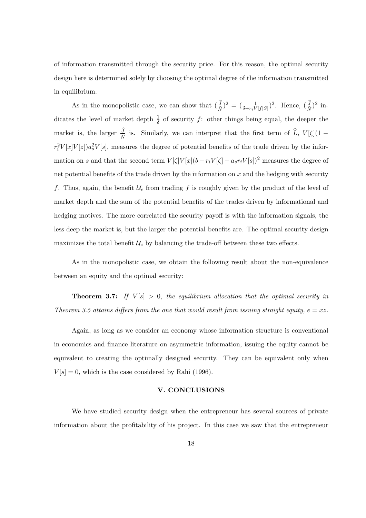of information transmitted through the security price. For this reason, the optimal security design here is determined solely by choosing the optimal degree of the information transmitted in equilibrium.

As in the monopolistic case, we can show that  $\left(\frac{J}{\delta t}\right)$  $(\frac{J}{\hat{N}})^2 = (\frac{1}{\delta + r_i V[f|S]})^2$ . Hence,  $(\frac{J}{\hat{N}})$  $\frac{J}{\widehat{N}})^2$  indicates the level of market depth  $\frac{1}{\delta}$  of security f: other things being equal, the deeper the market is, the larger  $\frac{J}{\hat{N}}$  $\frac{J}{\hat{N}}$  is. Similarly, we can interpret that the first term of L,  $V[\zeta](1$  $r_i^2V[x]V[z])a_s^2V[s]$ , measures the degree of potential benefits of the trade driven by the information on s and that the second term  $V[\zeta]V[x](b - r_iV[\zeta] - a_s r_iV[s])^2$  measures the degree of net potential benefits of the trade driven by the information on  $x$  and the hedging with security f. Thus, again, the benefit  $\mathcal{U}_c$  from trading f is roughly given by the product of the level of market depth and the sum of the potential benefits of the trades driven by informational and hedging motives. The more correlated the security payoff is with the information signals, the less deep the market is, but the larger the potential benefits are. The optimal security design maximizes the total benefit  $\mathcal{U}_c$  by balancing the trade-off between these two effects.

As in the monopolistic case, we obtain the following result about the non-equivalence between an equity and the optimal security:

**Theorem 3.7:** If  $V[s] > 0$ , the equilibrium allocation that the optimal security in Theorem 3.5 attains differs from the one that would result from issuing straight equity,  $e = xz$ .

Again, as long as we consider an economy whose information structure is conventional in economics and finance literature on asymmetric information, issuing the equity cannot be equivalent to creating the optimally designed security. They can be equivalent only when  $V[s] = 0$ , which is the case considered by Rahi (1996).

## V. CONCLUSIONS

We have studied security design when the entrepreneur has several sources of private information about the profitability of his project. In this case we saw that the entrepreneur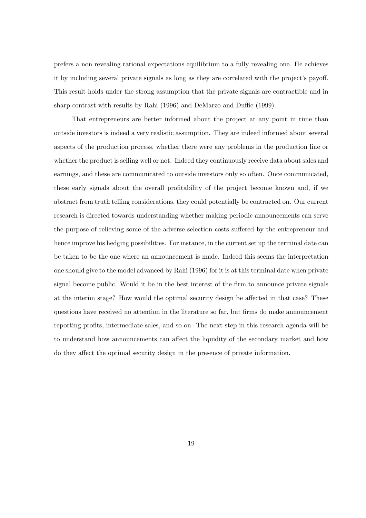prefers a non revealing rational expectations equilibrium to a fully revealing one. He achieves it by including several private signals as long as they are correlated with the project's payoff. This result holds under the strong assumption that the private signals are contractible and in sharp contrast with results by Rahi (1996) and DeMarzo and Duffie (1999).

That entrepreneurs are better informed about the project at any point in time than outside investors is indeed a very realistic assumption. They are indeed informed about several aspects of the production process, whether there were any problems in the production line or whether the product is selling well or not. Indeed they continuously receive data about sales and earnings, and these are communicated to outside investors only so often. Once communicated, these early signals about the overall profitability of the project become known and, if we abstract from truth telling considerations, they could potentially be contracted on. Our current research is directed towards understanding whether making periodic announcements can serve the purpose of relieving some of the adverse selection costs suffered by the entrepreneur and hence improve his hedging possibilities. For instance, in the current set up the terminal date can be taken to be the one where an announcement is made. Indeed this seems the interpretation one should give to the model advanced by Rahi (1996) for it is at this terminal date when private signal become public. Would it be in the best interest of the firm to announce private signals at the interim stage? How would the optimal security design be affected in that case? These questions have received no attention in the literature so far, but firms do make announcement reporting profits, intermediate sales, and so on. The next step in this research agenda will be to understand how announcements can affect the liquidity of the secondary market and how do they affect the optimal security design in the presence of private information.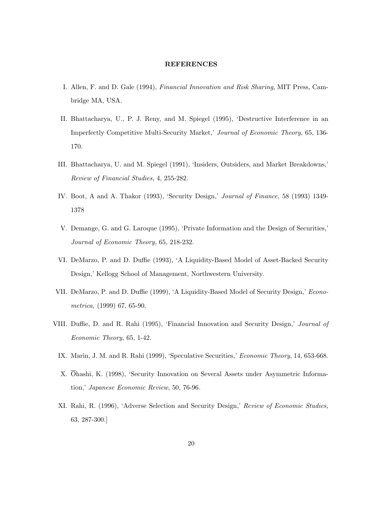### REFERENCES

- I. Allen, F. and D. Gale (1994), Financial Innovation and Risk Sharing, MIT Press, Cambridge MA, USA.
- II. Bhattacharya, U., P. J. Reny, and M. Spiegel (1995), 'Destructive Interference in an Imperfectly Competitive Multi-Security Market,' Journal of Economic Theory, 65, 136- 170.
- III. Bhattacharya, U. and M. Spiegel (1991), 'Insiders, Outsiders, and Market Breakdowns,' Review of Financial Studies, 4, 255-282.
- IV. Boot, A and A. Thakor (1993), 'Security Design,' Journal of Finance, 58 (1993) 1349- 1378
- V. Demange, G. and G. Laroque (1995), 'Private Information and the Design of Securities,' Journal of Economic Theory, 65, 218-232.
- VI. DeMarzo, P. and D. Duffie (1993), 'A Liquidity-Based Model of Asset-Backed Security Design,' Kellogg School of Management, Northwestern University.
- VII. DeMarzo, P. and D. Duffie (1999), 'A Liquidity-Based Model of Security Design,' Econometrica, (1999) 67, 65-90.
- VIII. Duffie, D. and R. Rahi (1995), 'Financial Innovation and Security Design,' Journal of Economic Theory, 65, 1-42.
	- IX. Marin, J. M. and R. Rahi (1999), 'Speculative Securities,' Economic Theory, 14, 653-668.
	- X. Ohashi, K. (1998), 'Security Innovation on Several Assets under Asymmetric Information,' Japanese Economic Review, 50, 76-96.
	- XI. Rahi, R. (1996), 'Adverse Selection and Security Design,' Review of Economic Studies, 63, 287-300.]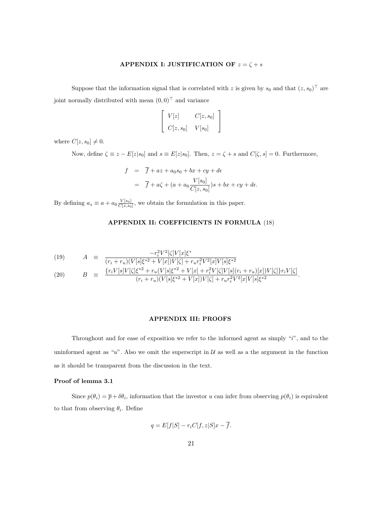## APPENDIX I: JUSTIFICATION OF  $z = \zeta + s$

Suppose that the information signal that is correlated with z is given by  $s_0$  and that  $(z, s_0)^\top$  are joint normally distributed with mean  $(0, 0)^{\top}$  and variance

$$
\left[\begin{array}{cc} V[z] & C[z,s_0] \\ C[z,s_0] & V[s_0] \end{array}\right]
$$

where  $C[z, s_0] \neq 0$ .

Now, define  $\zeta \equiv z - E[z|s_0]$  and  $s \equiv E[z|s_0]$ . Then,  $z = \zeta + s$  and  $C[\zeta, s] = 0$ . Furthermore,

 $d\epsilon$ .

$$
f = \overline{f} + az + a_0s_0 + bx + cy + d\epsilon
$$
  
= 
$$
\overline{f} + a\zeta + (a + a_0 \frac{V[s_0]}{C[z, s_0]})s + bx + cy +
$$

By defining  $a_s \equiv a + a_0 \frac{V[s_0]}{C[z,s_0]}$  $\frac{V[s_0]}{C[z,s_0]}$ , we obtain the formulation in this paper.

## APPENDIX II: COEFFICIENTS IN FORMULA (18)

(19) 
$$
A = \frac{-r_i^2 V^2 [\zeta] V[x] \zeta^*}{(r_i + r_u)(V[s] \zeta^{*2} + V[x]) V[\zeta] + r_u r_i^2 V^2 [x] V[s] \zeta^{*2}} \zeta_{r \cdot V[s] V[\zeta] \zeta^{*2} + r_v (V[s] \zeta^{*2} + V[x] + r_u^2 V[\zeta] V[s] (r_i + r_v)[x]) V[\zeta] \psi_{r \cdot V}[\zeta^{*2} + r_v [x] \zeta^{*2} + V[x] + r_u^2 V[\zeta] V[s] (r_i + r_v)[x]) V[\zeta] \psi_{r \cdot V}[\zeta^{*2} + r_v [x] \zeta^{*2} + V[x] + r_u^2 V[\zeta] V[s] (r_i + r_v)[x]) V[\zeta] \psi_{r \cdot V}[\zeta^{*2} + V[x] \zeta^{*2} + V[x] \zeta^{*2} + V[x] \zeta^{*2} + V[x] \zeta^{*2} + V[x] \zeta^{*2} + V[x] \zeta^{*2} + V[x] \zeta^{*2} + V[x] \zeta^{*2} + V[x] \zeta^{*2} + V[x] \zeta^{*2} + V[x] \zeta^{*2} + V[x] \zeta^{*2} + V[x] \zeta^{*2} + V[x] \zeta^{*2} + V[x] \zeta^{*2} + V[x] \zeta^{*2} + V[x] \zeta^{*2} + V[x] \zeta^{*2} + V[x] \zeta^{*2} + V[x] \zeta^{*2} + V[x] \zeta^{*2} + V[x] \zeta^{*2} + V[x] \zeta^{*2} + V[x] \zeta^{*2} + V[x] \zeta^{*2} + V[x] \zeta^{*2} + V[x] \zeta^{*2} + V[x] \zeta^{*2} + V[x] \zeta^{*2} + V[x] \zeta^{*2} + V[x] \zeta^{*2} + V[x] \zeta^{*2} + V[x] \zeta^{*2} + V[x] \zeta^{*2} + V[x] \zeta^{*2} + V[x] \zeta^{*2} + V[x] \zeta^{*2} + V[x] \zeta^{*2} + V[x] \zeta^{*2} + V[x] \zeta^{*2} + V[x] \zeta^{*2} + V[x] \zeta^{*2} + V[x] \zeta^{*2} + V[x] \zeta^{
$$

(20) 
$$
B = \frac{\{r_i V[s]V[\zeta]\zeta^{*2} + r_u(V[s]\zeta^{*2} + V[x] + r_i^2 V[\zeta]V[s](r_i + r_u)[x])V[\zeta]\}r_iV[\zeta]}{(r_i + r_u)(V[s]\zeta^{*2} + V[x])V[\zeta] + r_u r_i^2 V^2[x]V[s]\zeta^{*2}}.
$$

#### APPENDIX III: PROOFS

Throughout and for ease of exposition we refer to the informed agent as simply "i", and to the uninformed agent as "u". Also we omit the superscript in  $\mathcal U$  as well as a the argument in the function as it should be transparent from the discussion in the text.

#### Proof of lemma 3.1

Since  $p(\theta_i) = \bar{p} + \delta \theta_i$ , information that the investor u can infer from observing  $p(\theta_i)$  is equivalent to that from observing  $\theta_i$ . Define

$$
q = E[f|S] - r_i C[f, z|S]x - \overline{f}.
$$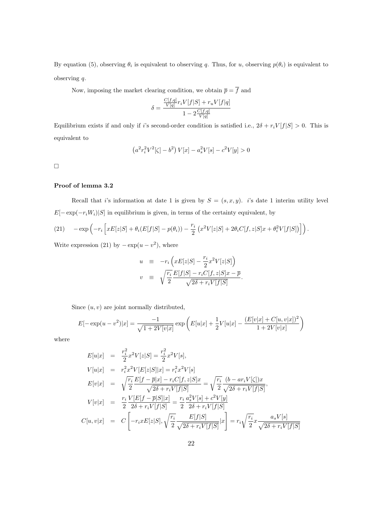By equation (5), observing  $\theta_i$  is equivalent to observing q. Thus, for u, observing  $p(\theta_i)$  is equivalent to observing q.

Now, imposing the market clearing condition, we obtain  $\overline{p} = \overline{f}$  and

 $\mathcal{L}$ 

$$
\delta = \frac{\frac{C[f,q]}{V[q]}r_iV[f|S] + r_uV[f|q]}{1 - 2\frac{C[f,q]}{V[q]}}
$$

Equilibrium exists if and only if i's second-order condition is satisfied i.e.,  $2\delta + r_iV[f|S] > 0$ . This is equivalent to

$$
(a^{2}r_{i}^{2}V^{2}[\zeta] - b^{2})V[x] - a_{s}^{2}V[s] - c^{2}V[y] > 0
$$

 $\Box$ 

## Proof of lemma 3.2

Recall that i's information at date 1 is given by  $S = (s, x, y)$ . i's date 1 interim utility level  $E[-\exp(-r_iW_i)|S]$  in equilibrium is given, in terms of the certainty equivalent, by

(21) 
$$
-\exp\left(-r_i\left[xE[z|S] + \theta_i(E[f|S] - p(\theta_i)) - \frac{r_i}{2}\left(x^2V[z|S] + 2\theta_iC[f,z|S]x + \theta_i^2V[f|S]\right)\right]\right).
$$

Write expression (21) by  $-\exp(u-v^2)$ , where

$$
u = -r_i \left( xE[z|S] - \frac{r_i}{2} x^2 V[z|S] \right)
$$
  

$$
v = \sqrt{\frac{r_i}{2}} \frac{E[f|S] - r_i C[f, z|S]x - \overline{p}}{\sqrt{2\delta + r_i V[f|S]}}.
$$

Since  $(u, v)$  are joint normally distributed,

$$
E[-\exp(u-v^2)|x] = \frac{-1}{\sqrt{1+2V[v|x]}} \exp\left(E[u|x] + \frac{1}{2}V[u|x] - \frac{(E[v|x] + C[u,v|x])^2}{1+2V[v|x]}\right)
$$

where

$$
E[u|x] = \frac{r_i^2}{2} x^2 V[z|S] = \frac{r_i^2}{2} x^2 V[s],
$$
  
\n
$$
V[u|x] = r_i^2 x^2 V[E[z|S]|x] = r_i^2 x^2 V[s]
$$
  
\n
$$
E[v|x] = \sqrt{\frac{r_i}{2}} \frac{E[f - \bar{p}|x] - r_i C[f, z|S]x}{\sqrt{2\delta + r_i V[f|S]}} = \sqrt{\frac{r_i}{2}} \frac{(b - ar_i V[\zeta])x}{\sqrt{2\delta + r_i V[f|S]}},
$$
  
\n
$$
V[v|x] = \frac{r_i}{2} \frac{V[E[f - \bar{p}|S]|x]}{2\delta + r_i V[f|S]} = \frac{r_i}{2} \frac{a_s^2 V[s] + c^2 V[y]}{2\delta + r_i V[f|S]}
$$
  
\n
$$
C[u, v|x] = C \left[ -r_i x E[z|S], \sqrt{\frac{r_i}{2}} \frac{E[f|S]}{\sqrt{2\delta + r_i V[f|S]}} |x \right] = r_i \sqrt{\frac{r_i}{2}} x \frac{a_s V[s]}{\sqrt{2\delta + r_i V[f|S]}}
$$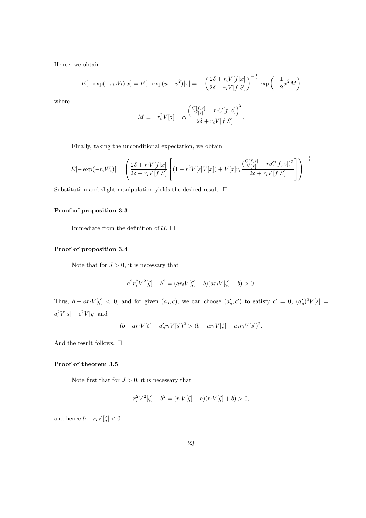Hence, we obtain

$$
E[-\exp(-r_i W_i)|x] = E[-\exp(u - v^2)|x] = -\left(\frac{2\delta + r_i V[f|x]}{2\delta + r_i V[f|S]}\right)^{-\frac{1}{2}} \exp\left(-\frac{1}{2}x^2 M\right)
$$

where

$$
M \equiv -r_i^2 V[z] + r_i \frac{\left(\frac{C[f,x]}{V[x]} - r_i C[f,z]\right)^2}{2\delta + r_i V[f|S]}.
$$

Finally, taking the unconditional expectation, we obtain

$$
E[-\exp(-r_i W_i)] = \left(\frac{2\delta + r_i V[f|x]}{2\delta + r_i V[f|S]}\left[(1 - r_i^2 V[z]V[x]) + V[x]r_i \frac{(\frac{C[f,x]}{V[x]} - r_i C[f,z])^2}{2\delta + r_i V[f|S]}\right]\right)^{-\frac{1}{2}}
$$

Substitution and slight manipulation yields the desired result.  $\Box$ 

#### Proof of proposition 3.3

Immediate from the definition of  $\mathcal{U}$ .  $\Box$ 

#### Proof of proposition 3.4

Note that for  $J > 0$ , it is necessary that

$$
a^{2}r_{i}^{2}V^{2}[\zeta] - b^{2} = (ar_{i}V[\zeta] - b)(ar_{i}V[\zeta] + b) > 0.
$$

Thus,  $b - ar_iV[\zeta] < 0$ , and for given  $(a_s, c)$ , we can choose  $(a'_s, c')$  to satisfy  $c' = 0$ ,  $(a'_s)^2V[s] =$  $a_s^2V[s]+c^2V[y]$  and

$$
(b - ar_i V[\zeta] - a'_s r_i V[s])^2 > (b - ar_i V[\zeta] - a_s r_i V[s])^2.
$$

And the result follows.  $\Box$ 

#### Proof of theorem 3.5

Note first that for  $J > 0$ , it is necessary that

$$
r_i^2 V^2[\zeta] - b^2 = (r_i V[\zeta] - b)(r_i V[\zeta] + b) > 0,
$$

and hence  $b - r_i V[\zeta] < 0$ .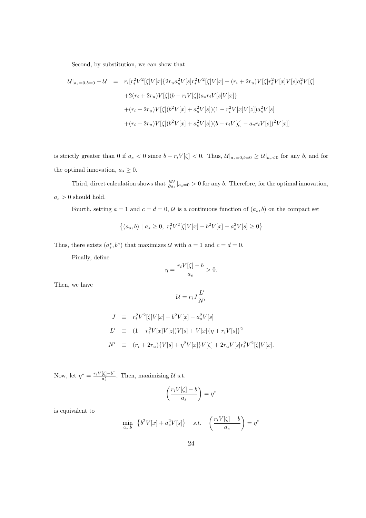Second, by substitution, we can show that

$$
\mathcal{U}|_{a_s=0,b=0} - \mathcal{U} = r_i[r_i^2 V^2[\zeta] V[x] \{2r_u a_s^2 V[s] r_i^2 V^2[\zeta] V[x] + (r_i + 2r_u) V[\zeta] r_i^2 V[x] V[s] a_i^2 V[\zeta]
$$
  
+2(r\_i + 2r\_u) V[\zeta](b - r\_i V[\zeta]) a\_s r\_i V[s] V[x]\}  
+ (r\_i + 2r\_u) V[\zeta](b^2 V[x] + a\_s^2 V[s])(1 - r\_i^2 V[x] V[z]) a\_s^2 V[s]  
+ (r\_i + 2r\_u) V[\zeta](b^2 V[x] + a\_s^2 V[s])(b - r\_i V[\zeta] - a\_s r\_i V[s])^2 V[x]]

is strictly greater than 0 if  $a_s < 0$  since  $b - r_iV[\zeta] < 0$ . Thus,  $\mathcal{U}|_{a_s=0,b=0} \geq \mathcal{U}|_{a_s<0}$  for any b, and for the optimal innovation,  $a_s \geq 0$ .

Third, direct calculation shows that  $\frac{\partial U}{\partial a_s}|_{a_s=0} > 0$  for any b. Therefore, for the optimal innovation,  $a_s>0$  should hold.

Fourth, setting  $a = 1$  and  $c = d = 0$ ,  $\mathcal{U}$  is a continuous function of  $(a_s, b)$  on the compact set

$$
\{(a_s, b) \mid a_s \ge 0, r_i^2 V^2[\zeta] V[x] - b^2 V[x] - a_s^2 V[s] \ge 0\}
$$

Thus, there exists  $(a_s^*, b^*)$  that maximizes U with  $a = 1$  and  $c = d = 0$ .

Finally, define

$$
\eta = \frac{r_i V[\zeta] - b}{a_s} > 0.
$$

Then, we have

$$
\mathcal{U}=r_iJ\frac{L'}{N'}
$$

$$
J \equiv r_i^2 V^2[\zeta] V[x] - b^2 V[x] - a_s^2 V[s]
$$
  
\n
$$
L' \equiv (1 - r_i^2 V[x] V[z]) V[s] + V[x] \{\eta + r_i V[s]\}^2
$$
  
\n
$$
N' \equiv (r_i + 2r_u) \{V[s] + \eta^2 V[x] \} V[\zeta] + 2r_u V[s] r_i^2 V^2[\zeta] V[x].
$$

Now, let  $\eta^* = \frac{r_i V[\zeta] - b^*}{a^*}$  $\frac{\lfloor \zeta \rfloor - b}{a^*_s}$ . Then, maximizing U s.t.

$$
\left(\frac{r_i V[\zeta] - b}{a_s}\right) = \eta^*
$$

is equivalent to

$$
\min_{a_s, b} \ \left\{ b^2 V[x] + a_s^2 V[s] \right\} \quad s.t. \quad \left( \frac{r_i V[\zeta] - b}{a_s} \right) = \eta^*
$$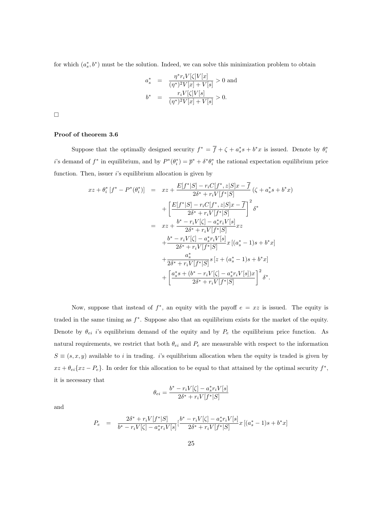for which  $(a_s^*, b^*)$  must be the solution. Indeed, we can solve this minimization problem to obtain

$$
a_s^* = \frac{\eta^* r_i V[\zeta] V[x]}{(\eta^*)^2 V[x] + V[s]} > 0 \text{ and}
$$
  

$$
b^* = \frac{r_i V[\zeta] V[s]}{(\eta^*)^2 V[x] + V[s]} > 0.
$$

 $\Box$ 

#### Proof of theorem 3.6

Suppose that the optimally designed security  $f^* = \overline{f} + \zeta + a_s^* s + b^* x$  is issued. Denote by  $\theta_i^*$ i's demand of  $f^*$  in equilibrium, and by  $P^*(\theta_i^*) = \overline{p}^* + \delta^*\theta_i^*$  the rational expectation equilibrium price function. Then, issuer  $i$ 's equilibrium allocation is given by

$$
xz + \theta_i^* [f^* - P^*(\theta_i^*)] = xz + \frac{E[f^*|S] - r_i C[f^*, z|S]x - \overline{f}}{2\delta^* + r_i V[f^*|S]} (\zeta + a_s^* s + b^* x)
$$
  
+ 
$$
\left[ \frac{E[f^*|S] - r_i C[f^*, z|S]x - \overline{f}}{2\delta^* + r_i V[f^*|S]} \right]^2 \delta^*
$$
  
= 
$$
xz + \frac{b^* - r_i V[\zeta] - a_s^* r_i V[s]}{2\delta^* + r_i V[f^*|S]} xz
$$
  
+ 
$$
\frac{b^* - r_i V[\zeta] - a_s^* r_i V[s]}{2\delta^* + r_i V[f^*|S]} x [ (a_s^* - 1)s + b^* x ]
$$
  
+ 
$$
\frac{a_s^*}{2\delta^* + r_i V[f^*|S]} s [ z + (a_s^* - 1)s + b^* x ]
$$
  
+ 
$$
\left[ \frac{a_s^* s + (b^* - r_i V[\zeta] - a_s^* r_i V[s])x}{2\delta^* + r_i V[f^*|S]} \right]^2 \delta^*.
$$

Now, suppose that instead of  $f^*$ , an equity with the payoff  $e = xz$  is issued. The equity is traded in the same timing as  $f^*$ . Suppose also that an equilibrium exists for the market of the equity. Denote by  $\theta_{ei}$  i's equilibrium demand of the equity and by  $P_e$  the equilibrium price function. As natural requirements, we restrict that both  $\theta_{ei}$  and  $P_e$  are measurable with respect to the information  $S \equiv (s, x, y)$  available to i in trading. i's equilibrium allocation when the equity is traded is given by  $xz + \theta_{ei} \{xz - P_e\}$ . In order for this allocation to be equal to that attained by the optimal security  $f^*$ , it is necessary that

$$
\theta_{ei} = \frac{b^* - r_i V[\zeta] - a_s^* r_i V[s]}{2\delta^* + r_i V[f^*|S]}
$$

and

$$
P_e = \frac{2\delta^* + r_i V[f^*|S]}{b^* - r_i V[\zeta] - a_s^* r_i V[s]} \left[\frac{b^* - r_i V[\zeta] - a_s^* r_i V[s]}{2\delta^* + r_i V[f^*|S]} x\left[(a_s^* - 1)s + b^* x\right]\right]
$$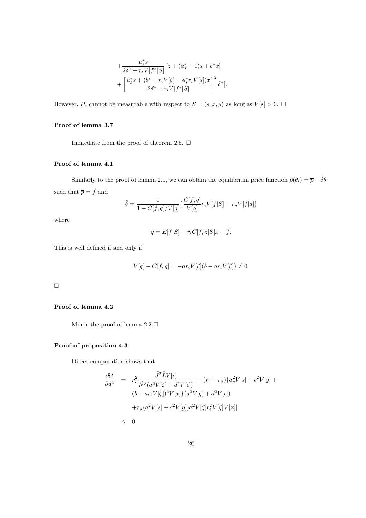$$
+\frac{a_s^*s}{2\delta^* + r_i V[f^*|S]} [z + (a_s^* - 1)s + b^*x] + \left[ \frac{a_s^*s + (b^* - r_i V[\zeta] - a_s^* r_i V[s])x}{2\delta^* + r_i V[f^*|S]} \right]^2 \delta^*].
$$

However,  $P_e$  cannot be measurable with respect to  $S = (s, x, y)$  as long as  $V[s] > 0$ .

## Proof of lemma 3.7

Immediate from the proof of theorem 2.5.  $\Box$ 

#### Proof of lemma 4.1

Similarly to the proof of lemma 2.1, we can obtain the equilibrium price function  $\hat{p}(\theta_i) = \overline{p} + \hat{\delta}\theta_i$ such that  $\overline{p} = \overline{f}$  and

$$
\hat{\delta} = \frac{1}{1 - C[f, q]/V[q]} \{ \frac{C[f, q]}{V[q]} r_i V[f|S] + r_u V[f|q] \}
$$

where

$$
q = E[f|S] - r_i C[f, z|S]x - \overline{f}.
$$

This is well defined if and only if

$$
V[q] - C[f, q] = -ar_i V[\zeta](b - ar_i V[\zeta]) \neq 0.
$$

 $\Box$ 

## Proof of lemma 4.2

Mimic the proof of lemma  $2.2$ .

## Proof of proposition 4.3

Direct computation shows that

$$
\frac{\partial \mathcal{U}}{\partial d^2} = r_i^2 \frac{\hat{J}^2 \hat{L} V[\epsilon]}{\hat{N}^3 (a^2 V[\zeta] + d^2 V[\epsilon])} [- (r_i + r_u) \{a_s^2 V[s] + c^2 V[y] + (b - ar_i V[\zeta])^2 V[x] \} (a^2 V[\zeta] + d^2 V[\epsilon]) + r_u (a_s^2 V[s] + c^2 V[y]) a^2 V[\zeta] r_i^2 V[\zeta] V[x]] \leq 0
$$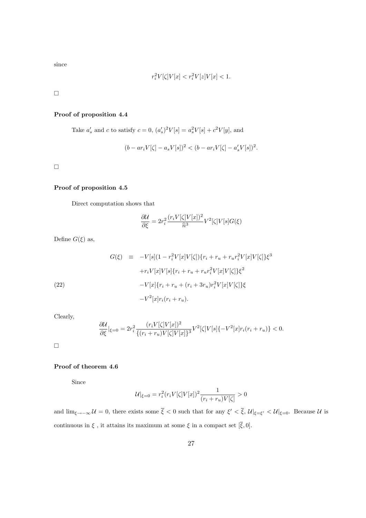since

$$
r_i^2V[\zeta]V[x]
$$

 $\Box$ 

## Proof of proposition 4.4

Take  $a'_{s}$  and c to satisfy  $c = 0$ ,  $(a'_{s})^{2}V[s] = a_{s}^{2}V[s] + c^{2}V[y]$ , and

$$
(b - ar_i V[\zeta] - a_s V[s])^2 < (b - ar_i V[\zeta] - a'_s V[s])^2.
$$

 $\hfill \square$ 

### Proof of proposition 4.5

Direct computation shows that

$$
\frac{\partial \mathcal{U}}{\partial \xi} = 2r_i^2 \frac{(r_i V[\zeta] V[x])^2}{\widehat{n}^3} V^2[\zeta] V[s] G(\xi)
$$

Define  $G(\xi)$  as,

(22)  
\n
$$
G(\xi) \equiv -V[s](1 - r_i^2 V[x]V[\zeta]) \{r_i + r_u + r_u r_i^2 V[x]V[\zeta] \} \xi^3
$$
\n
$$
+ r_i V[x]V[s] \{r_i + r_u + r_u r_i^2 V[x]V[\zeta] \} \xi^2
$$
\n
$$
-V[x] \{r_i + r_u + (r_i + 3r_u)r_i^2 V[x]V[\zeta] \} \xi
$$
\n
$$
-V^2[x]r_i(r_i + r_u).
$$

Clearly,

$$
\frac{\partial U}{\partial \xi}|_{\xi=0} = 2r_i^2 \frac{(r_i V[\zeta] V[x])^2}{\{(r_i + r_u)V[\zeta] V[x]\}^3} V^2[\zeta] V[s] \{-V^2[x]r_i(r_i + r_u)\} < 0.
$$

 $\hfill \square$ 

## Proof of theorem 4.6

Since

$$
\mathcal{U}|_{\xi=0} = r_i^2 (r_i V[\zeta] V[x])^2 \frac{1}{(r_i + r_u)V[\zeta]} > 0
$$

and  $\lim_{\xi \to -\infty} U = 0$ , there exists some  $\overline{\xi} < 0$  such that for any  $\xi' < \overline{\xi}$ ,  $\mathcal{U}|_{\xi = \xi'} < \mathcal{U}|_{\xi = 0}$ . Because  $\mathcal{U}$  is continuous in  $\xi$ , it attains its maximum at some  $\xi$  in a compact set  $[\overline{\xi}, 0]$ .